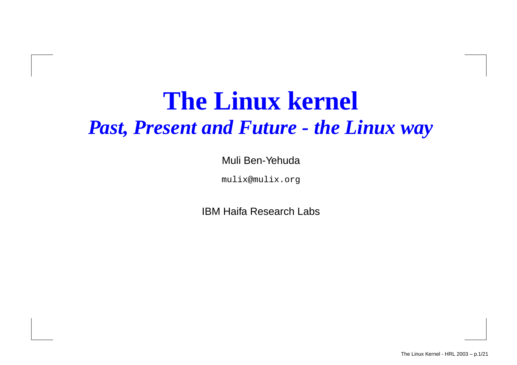#### **The Linux kernel** *Past, Present and Future - the Linux way*

Muli Ben-Yehuda

mulix@mulix.org

IBM Haifa Research Labs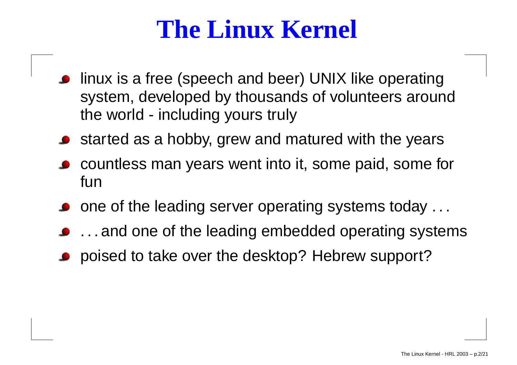#### **The Linux Kernel**

- linux is a free (speech and beer) UNIX like operating system, developed by thousands of volunteers around the world - including yours truly
- started as <sup>a</sup> hobby, grew and matured with the years
- countless man years went into it, some paid, some for fun
- one of the leading server operating systems today . . .
- . . . and one of the leading embedded operating systems
- poised to take over the desktop? Hebrew support?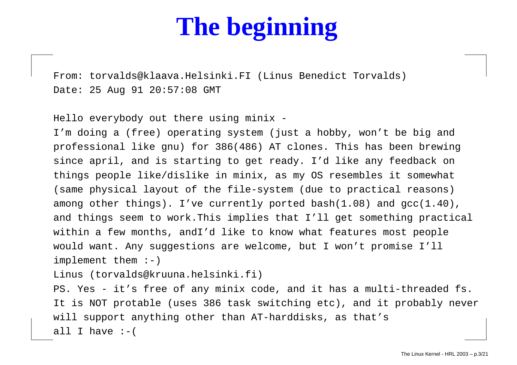# **The beginning**

From: torvalds@klaava.Helsinki.FI (Linus Benedict Torvalds) Date: 25 Aug 91 20:57:08 GMT

Hello everybody out there using minix -

I'm doing <sup>a</sup> (free) operating system (just <sup>a</sup> hobby, won't be big and professional like gnu) for 386(486) AT clones. This has been brewing since april, and is starting to get ready. I'd like any feedback on things people like/dislike in minix, as my OS resembles it somewhat (same physical layout of the file-system (due to practical reasons) among other things). I've currently ported bash(1.08) and gcc(1.40), and things seem to work.This implies that I'll get something practical within <sup>a</sup> few months, andI'd like to know what features most people would want. Any suggestions are welcome, but <sup>I</sup> won't promise I'll implement them :-)

Linus (torvalds@kruuna.helsinki.fi)

PS. Yes - it's free of any minix code, and it has <sup>a</sup> multi-threaded fs. It is NOT protable (uses 386 task switching etc), and it probably never will support anything other than AT-harddisks, as that's all I have :-(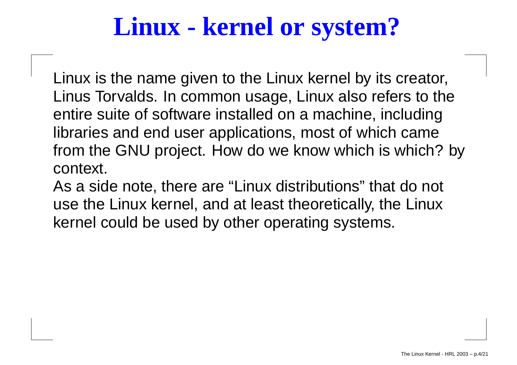#### **Linux - kernel or system?**

Linux is the name given to the Linux kernel by its creator, Linus Torvalds. In common usage, Linux also refers to the entire suite of software installed on <sup>a</sup> machine, including libraries and end user applications, most of which came from the GNU project. How do we know which is which? by context.

As a side note, there are "Linux distributions" that do not use the Linux kernel, and at least theoretically, the Linux kernel could be used by other operating systems.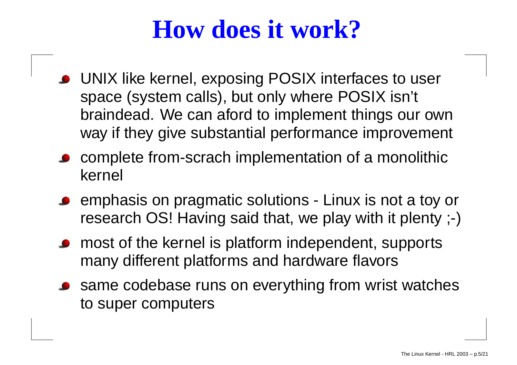#### **How does it work?**

- UNIX like kernel, exposing POSIX interfaces to user space (system calls), but only where POSIX isn't braindead. We can aford to implement things our own way if they give substantial performance improvement
- complete from-scrach implementation of <sup>a</sup> monolithic kernel
- emphasis on pragmatic solutions Linux is not <sup>a</sup> toy or research OS! Having said that, we play with it plenty ;-)
- most of the kernel is platform independent, supports many different platforms and hardware flavors
- same codebase runs on everything from wrist watches to super computers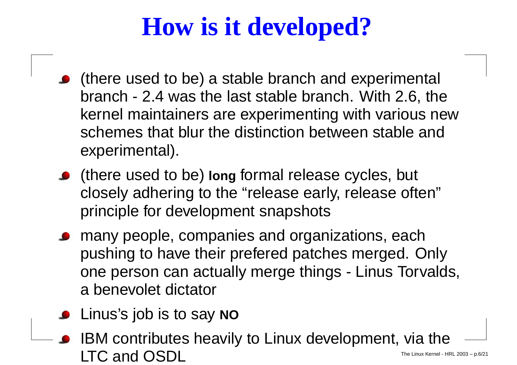# **How is it developed?**

- (there used to be) <sup>a</sup> stable branch and experimental branch - 2.4 was the last stable branch. With 2.6, the kernel maintainers are experimenting with various new schemes that blur the distinction between stable and experimental).
- (there used to be) **long** formal release cycles, but closely adhering to the "release early, release often" principle for development snapshots
- many people, companies and organizations, each pushing to have their prefered patches merged. Only one person can actually merge things - Linus Torvalds, a benevolet dictator
- Linus's job is to say **NO**
- IBM contributes heavily to Linux development, via the  $\mathsf{LTC} \text{ and } \mathsf{OSDL} \hspace{2cm}$ The Linux Kernel - HRL 2003 – p.6/21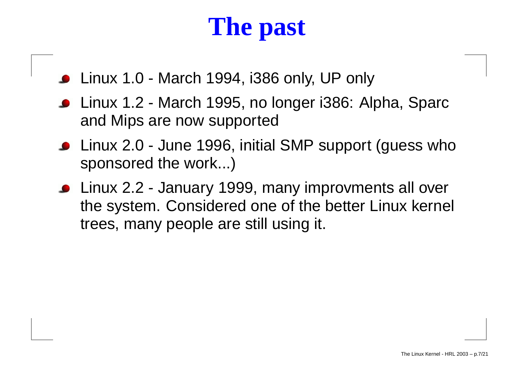# **The past**

- Linux 1.0 March 1994, i386 only, UP only
- Linux 1.2 March 1995, no longer i386: Alpha, Sparc and Mips are now supported
- Linux 2.0 June 1996, initial SMP support (guess who sponsored the work...)
- Linux 2.2 January 1999, many improvments all over the system. Considered one of the better Linux kernel trees, many people are still using it.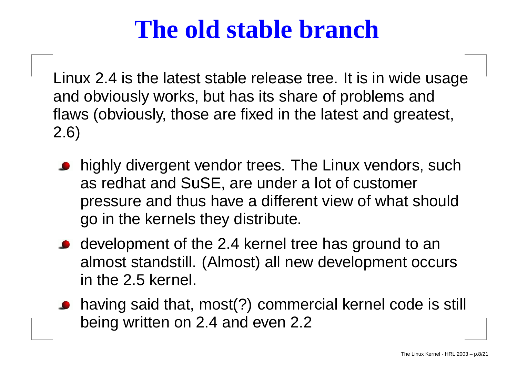#### **The old stable branch**

Linux 2.4 is the latest stable release tree. It is in wide usage and obviously works, but has its share of problems and flaws (obviously, those are fixed in the latest and greatest, 2.6)

- highly divergent vendor trees. The Linux vendors, such as redhat and SuSE, are under <sup>a</sup> lot of customer pressure and thus have <sup>a</sup> different view of what should go in the kernels they distribute.
- development of the 2.4 kernel tree has ground to an almost standstill. (Almost) all new development occurs in the 2.5 kernel.
- having said that, most(?) commercial kernel code is still being written on 2.4 and even 2.2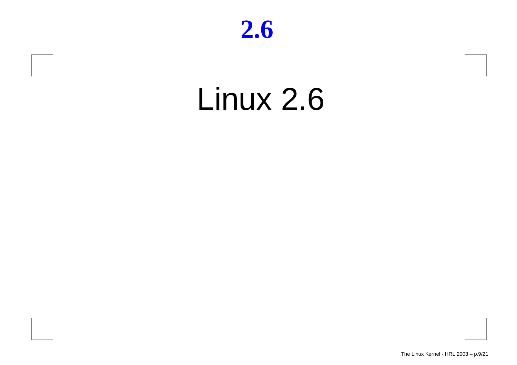#### **2.6**

# Linux 2.6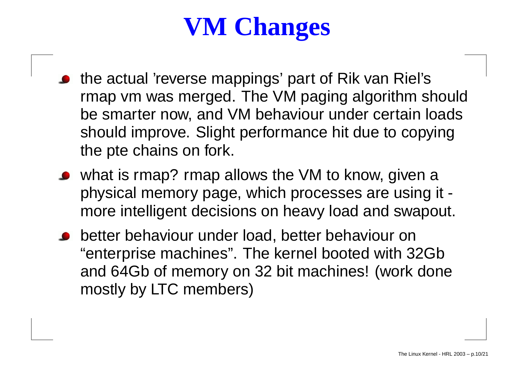# **VM Changes**

- the actual 'reverse mappings' part of Rik van Riel's rmap vm was merged. The VM paging algorithm should be smarter now, and VM behaviour under certain loads should improve. Slight performance hit due to copying the pte chains on fork.
- what is rmap? rmap allows the VM to know, given <sup>a</sup> physical memory page, which processes are using it more intelligent decisions on heavy load and swapout.
- better behaviour under load, better behaviour on "enterprise machines". The kernel booted with 32Gb and 64Gb of memory on 32 bit machines! (work done mostly by LTC members)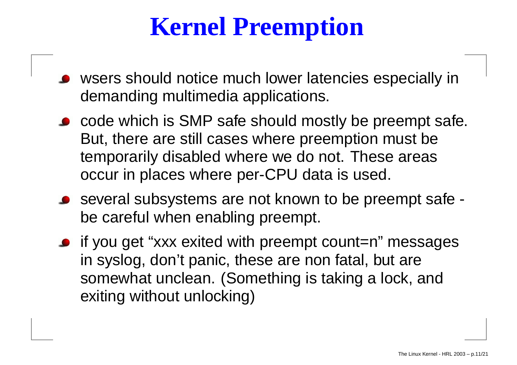# **Kernel Preemption**

- wsers should notice much lower latencies especially in demanding multimedia applications.
- code which is SMP safe should mostly be preempt safe. But, there are still cases where preemption must be temporarily disabled where we do not. These areas occur in places where per-CPU data is used.
- several subsystems are not known to be preempt safe be careful when enabling preempt.
- if you get "xxx exited with preempt count=n" messages in syslog, don't panic, these are non fatal, but are somewhat unclean. (Something is taking <sup>a</sup> lock, and exiting without unlocking)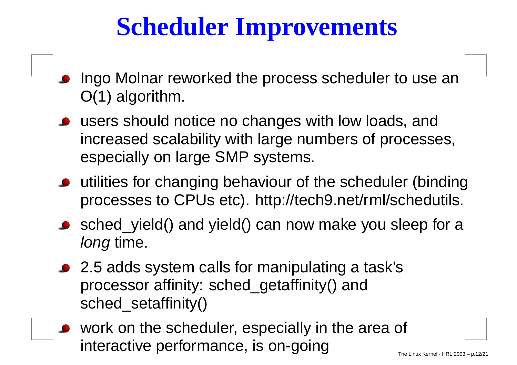## **Scheduler Improvements**

- Ingo Molnar reworked the process scheduler to use an O(1) algorithm.
- users should notice no changes with low loads, and increased scalability with large numbers of processes, especially on large SMP systems.
- utilities for changing behaviour of the scheduler (binding processes to CPUs etc). http://tech9.net/rml/schedutils.
- sched\_yield() and yield() can now make you sleep for <sup>a</sup> long time.
- 2.5 adds system calls for manipulating <sup>a</sup> task's processor affinity: sched\_getaffinity() and sched\_setaffinity()
- work on the scheduler, especially in the area of interactive performance, is on-going  $\overline{\phantom{a}}_{\phantom{a} \phantom{a} \phantom{a} \phantom{a}}$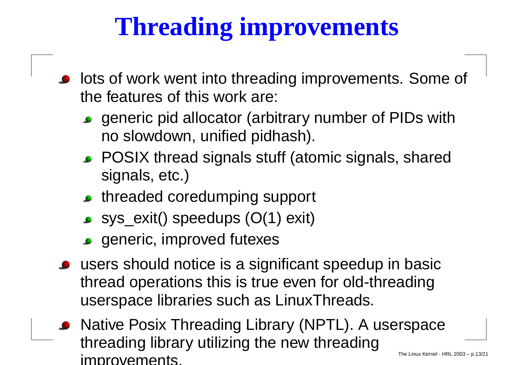# **Threading improvements**

- lots of work went into threading improvements. Some of the features of this work are:
	- generic pid allocator (arbitrary number of PIDs with no slowdown, unified pidhash).
	- POSIX thread signals stuff (atomic signals, shared signals, etc.)
	- threaded coredumping support
	- $\bullet$  sys\_exit() speedups  $(O(1)$  exit)
	- **s** generic, improved futexes
- users should notice is <sup>a</sup> significant speedup in basic thread operations this is true even for old-threading userspace libraries such as LinuxThreads.
- Native Posix Threading Library (NPTL). A userspace threading library utilizing the new threading **improvements**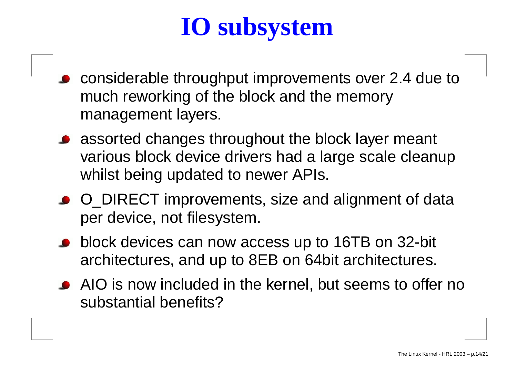# **IO subsystem**

- considerable throughput improvements over 2.4 due to much reworking of the block and the memory management layers.
- assorted changes throughout the block layer meant various block device drivers had <sup>a</sup> large scale cleanup whilst being updated to newer APIs.
- O\_DIRECT improvements, size and alignment of data per device, not filesystem.
- block devices can now access up to 16TB on 32-bit architectures, and up to 8EB on 64bit architectures.
- AIO is now included in the kernel, but seems to offer no substantial benefits?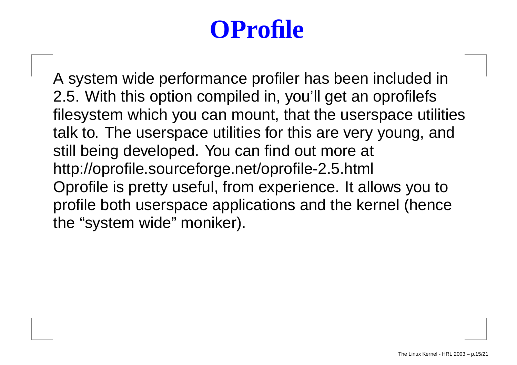## **OProfile**

A system wide performance profiler has been included in 2.5. With this option compiled in, you'll get an oprofilefs filesystem which you can mount, that the userspace utilities talk to. The userspace utilities for this are very young, and still being developed. You can find out more at http://oprofile.sourceforge.net/oprofile-2.5.html Oprofile is pretty useful, from experience. It allows you to profile both userspace applications and the kernel (hence the "system wide" moniker).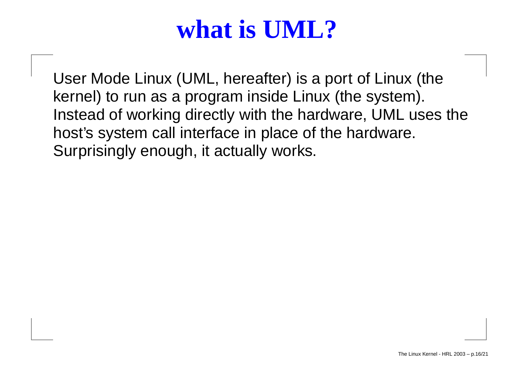#### **what is UML?**

User Mode Linux (UML, hereafter) is <sup>a</sup> port of Linux (the kernel) to run as <sup>a</sup> program inside Linux (the system). Instead of working directly with the hardware, UML uses the host's system call interface in place of the hardware. Surprisingly enough, it actually works.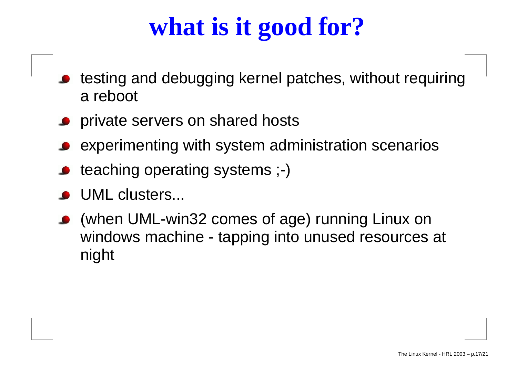# **what is it good for?**

- testing and debugging kernel patches, without requiring a reboot
- private servers on shared hosts
- experimenting with system administration scenarios
- teaching operating systems ;-)
- UML clusters...
- (when UML-win32 comes of age) running Linux on windows machine - tapping into unused resources at night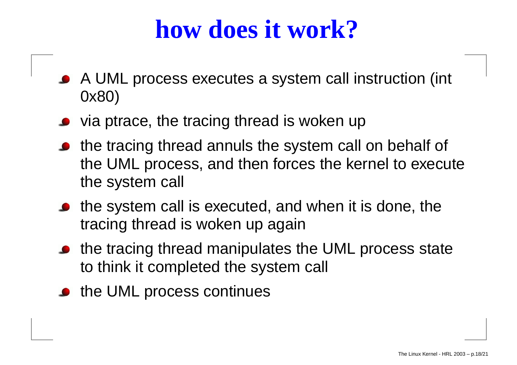#### **how does it work?**

- A UML process executes <sup>a</sup> system call instruction (int 0x80)
- via ptrace, the tracing thread is woken up
- the tracing thread annuls the system call on behalf of the UML process, and then forces the kernel to execute the system call
- the system call is executed, and when it is done, the tracing thread is woken up again
- the tracing thread manipulates the UML process state to think it completed the system call
- the UML process continues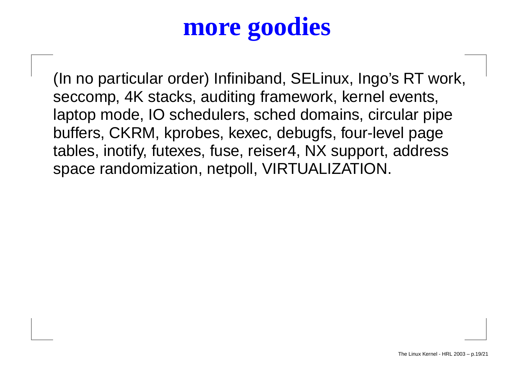### **more goodies**

(In no particular order) Infiniband, SELinux, Ingo's RT work, seccomp, 4K stacks, auditing framework, kernel events, laptop mode, IO schedulers, sched domains, circular pipe buffers, CKRM, kprobes, kexec, debugfs, four-level page tables, inotify, futexes, fuse, reiser4, NX support, address space randomization, netpoll, VIRTUALIZATION.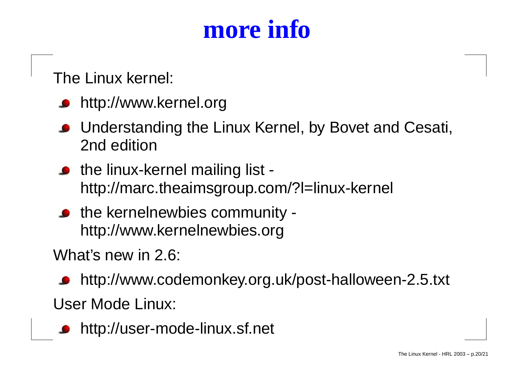#### **more info**

The Linux kernel:

- http://www.kernel.org
- Understanding the Linux Kernel, by Bovet and Cesati, 2nd edition
- the linux-kernel mailing list http://marc.theaimsgroup.com/?l=linux-kernel
- the kernelnewbies community http://www.kernelnewbies.org

What's new in 2.6:

- http://www.codemonkey.org.uk/post-halloween-2.5.txt User Mode Linux:
	- http://user-mode-linux.sf.net